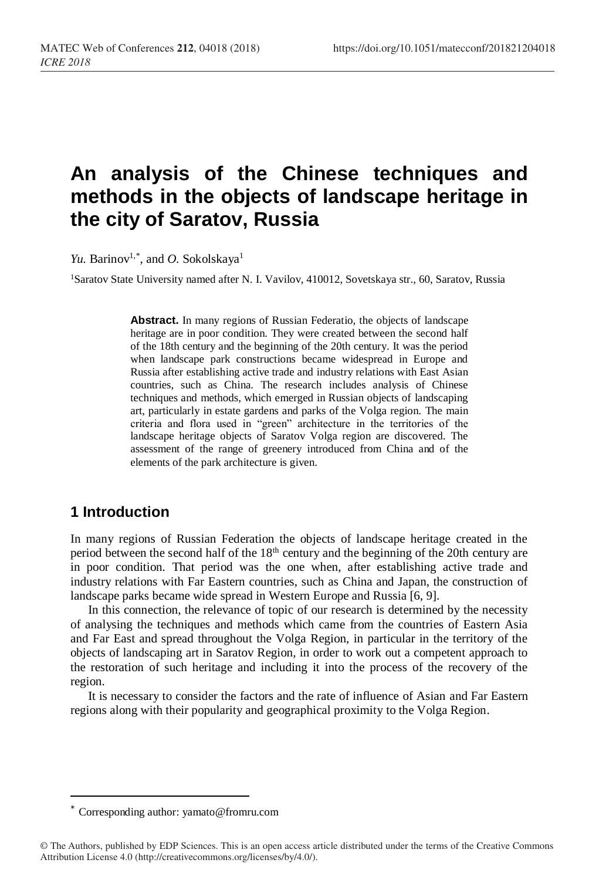# **An analysis of the Chinese techniques and methods in the objects of landscape heritage in the city of Saratov, Russia**

*Yu.* Barinov<sup>1,\*</sup>, and *O.* Sokolskaya<sup>1</sup>

<sup>1</sup>Saratov State University named after N. I. Vavilov, 410012, Sovetskaya str., 60, Saratov, Russia

**Abstract.** In many regions of Russian Federatio, the objects of landscape heritage are in poor condition. They were created between the second half of the 18th century and the beginning of the 20th century. It was the period when landscape park constructions became widespread in Europe and Russia after establishing active trade and industry relations with East Asian countries, such as China. The research includes analysis of Chinese techniques and methods, which emerged in Russian objects of landscaping art, particularly in estate gardens and parks of the Volga region. The main criteria and flora used in "green" architecture in the territories of the landscape heritage objects of Saratov Volga region are discovered. The assessment of the range of greenery introduced from China and of the elements of the park architecture is given.

## **1 Introduction**

 $\overline{a}$ 

In many regions of Russian Federation the objects of landscape heritage created in the period between the second half of the 18<sup>th</sup> century and the beginning of the 20th century are in poor condition. That period was the one when, after establishing active trade and industry relations with Far Eastern countries, such as China and Japan, the construction of landscape parks became wide spread in Western Europe and Russia [6, 9].

In this connection, the relevance of topic of our research is determined by the necessity of analysing the techniques and methods which came from the countries of Eastern Asia and Far East and spread throughout the Volga Region, in particular in the territory of the objects of landscaping art in Saratov Region, in order to work out a competent approach to the restoration of such heritage and including it into the process of the recovery of the region.

It is necessary to consider the factors and the rate of influence of Asian and Far Eastern regions along with their popularity and geographical proximity to the Volga Region.

<sup>\*</sup> Corresponding author: yamato@fromru.com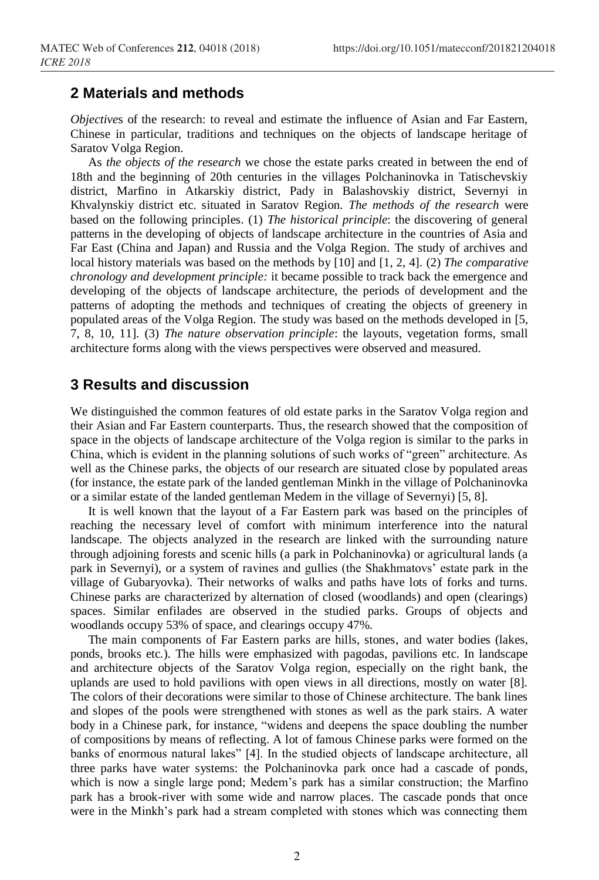#### **2 Materials and methods**

*Objective*s of the research: to reveal and estimate the influence of Asian and Far Eastern, Chinese in particular, traditions and techniques on the objects of landscape heritage of Saratov Volga Region.

As *the objects of the research* we chose the estate parks created in between the end of 18th and the beginning of 20th centuries in the villages Polchaninovka in Tatischevskiy district, Marfino in Atkarskiy district, Pady in Balashovskiy district, Severnyi in Khvalynskiy district etc. situated in Saratov Region. *The methods of the research* were based on the following principles. (1) *The historical principle*: the discovering of general patterns in the developing of objects of landscape architecture in the countries of Asia and Far East (China and Japan) and Russia and the Volga Region. The study of archives and local history materials was based on the methods by [10] and [1, 2, 4]. (2) *The comparative chronology and development principle:* it became possible to track back the emergence and developing of the objects of landscape architecture, the periods of development and the patterns of adopting the methods and techniques of creating the objects of greenery in populated areas of the Volga Region. The study was based on the methods developed in [5, 7, 8, 10, 11]. (3) *The nature observation principle*: the layouts, vegetation forms, small architecture forms along with the views perspectives were observed and measured.

### **3 Results and discussion**

We distinguished the common features of old estate parks in the Saratov Volga region and their Asian and Far Eastern counterparts. Thus, the research showed that the composition of space in the objects of landscape architecture of the Volga region is similar to the parks in China, which is evident in the planning solutions of such works of "green" architecture. As well as the Chinese parks, the objects of our research are situated close by populated areas (for instance, the estate park of the landed gentleman Minkh in the village of Polchaninovka or a similar estate of the landed gentleman Medem in the village of Severnyi) [5, 8].

It is well known that the layout of a Far Eastern park was based on the principles of reaching the necessary level of comfort with minimum interference into the natural landscape. The objects analyzed in the research are linked with the surrounding nature through adjoining forests and scenic hills (a park in Polchaninovka) or agricultural lands (a park in Severnyi), or a system of ravines and gullies (the Shakhmatovs' estate park in the village of Gubaryovka). Their networks of walks and paths have lots of forks and turns. Chinese parks are characterized by alternation of closed (woodlands) and open (clearings) spaces. Similar enfilades are observed in the studied parks. Groups of objects and woodlands occupy 53% of space, and clearings occupy 47%.

The main components of Far Eastern parks are hills, stones, and water bodies (lakes, ponds, brooks etc.). The hills were emphasized with pagodas, pavilions etc. In landscape and architecture objects of the Saratov Volga region, especially on the right bank, the uplands are used to hold pavilions with open views in all directions, mostly on water [8]. The colors of their decorations were similar to those of Chinese architecture. The bank lines and slopes of the pools were strengthened with stones as well as the park stairs. A water body in a Chinese park, for instance, "widens and deepens the space doubling the number of compositions by means of reflecting. A lot of famous Chinese parks were formed on the banks of enormous natural lakes" [4]. In the studied objects of landscape architecture, all three parks have water systems: the Polchaninovka park once had a cascade of ponds, which is now a single large pond; Medem's park has a similar construction; the Marfino park has a brook-river with some wide and narrow places. The cascade ponds that once were in the Minkh's park had a stream completed with stones which was connecting them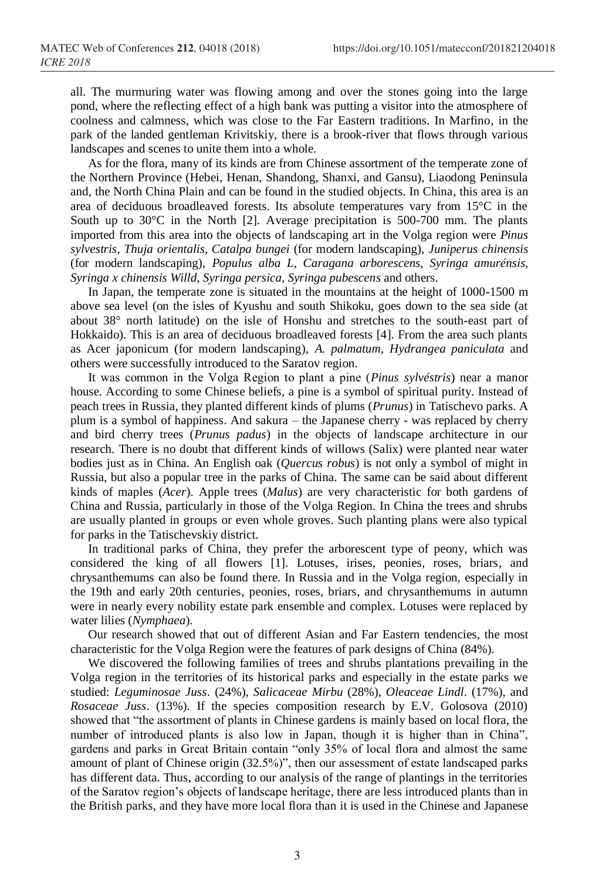all. The murmuring water was flowing among and over the stones going into the large pond, where the reflecting effect of a high bank was putting a visitor into the atmosphere of coolness and calmness, which was close to the Far Eastern traditions. In Marfino, in the park of the landed gentleman Krivitskiy, there is a brook-river that flows through various landscapes and scenes to unite them into a whole.

As for the flora, many of its kinds are from Chinese assortment of the temperate zone of the Northern Province (Hebei, Henan, Shandong, Shanxi, and Gansu), Liaodong Peninsula and, the North China Plain and can be found in the studied objects. In China, this area is an area of deciduous broadleaved forests. Its absolute temperatures vary from 15°C in the South up to 30°C in the North [2]. Average precipitation is 500-700 mm. The plants imported from this area into the objects of landscaping art in the Volga region were *Pinus sylvestris*, *Thuja orientalis, Catalpa bungei* (for modern landscaping), *Juniperus chinensis* (for modern landscaping), *Populus alba L, Caragana arborescens, Syringa amurénsis, Syringa x chinensis Willd, Syringa persica, Syringa pubescens* and others.

In Japan, the temperate zone is situated in the mountains at the height of 1000-1500 m above sea level (on the isles of Kyushu and south Shikoku, goes down to the sea side (at about 38° north latitude) on the isle of Honshu and stretches to the south-east part of Hokkaido). This is an area of deciduous broadleaved forests [4]. From the area such plants as Acer japonicum (for modern landscaping), *A. palmatum, Hydrangea paniculata* and others were successfully introduced to the Saratov region.

It was common in the Volga Region to plant а pine (*Pinus sylvéstris*) near a manor house. According to some Chinese beliefs, a pine is a symbol of spiritual purity. Instead of peach trees in Russia, they planted different kinds of plums (*Prunus*) in Tatischevo parks. A plum is a symbol of happiness. And sakura – the Japanese cherry - was replaced by cherry and bird cherry trees (*Prunus padus*) in the objects of landscape architecture in our research. There is no doubt that different kinds of willows (Salix) were planted near water bodies just as in China. An English oak (*Quercus robus*) is not only a symbol of might in Russia, but also a popular tree in the parks of China. The same can be said about different kinds of maples (*Acer*). Apple trees (*Malus*) are very characteristic for both gardens of China and Russia, particularly in those of the Volga Region. In China the trees and shrubs are usually planted in groups or even whole groves. Such planting plans were also typical for parks in the Tatischevskiy district.

In traditional parks of China, they prefer the arborescent type of peony, which was considered the king of all flowers [1]. Lotuses, irises, peonies, roses, briars, and chrysanthemums can also be found there. In Russia and in the Volga region, especially in the 19th and early 20th centuries, peonies, roses, briars, and chrysanthemums in autumn were in nearly every nobility estate park ensemble and complex. Lotuses were replaced by water lilies (*Nymphaea*).

Our research showed that out of different Asian and Far Eastern tendencies, the most characteristic for the Volga Region were the features of park designs of China (84%).

We discovered the following families of trees and shrubs plantations prevailing in the Volga region in the territories of its historical parks and especially in the estate parks we studied: *Leguminosae Juss*. (24%), *Salicaceae Mirbu* (28%), *Oleaceae Lindl*. (17%), and *Rosaceae Juss*. (13%). If the species composition research by E.V. Golosova (2010) showed that "the assortment of plants in Chinese gardens is mainly based on local flora, the number of introduced plants is also low in Japan, though it is higher than in China", gardens and parks in Great Britain contain "only 35% of local flora and almost the same amount of plant of Chinese origin (32.5%)", then our assessment of estate landscaped parks has different data. Thus, according to our analysis of the range of plantings in the territories of the Saratov region's objects of landscape heritage, there are less introduced plants than in the British parks, and they have more local flora than it is used in the Chinese and Japanese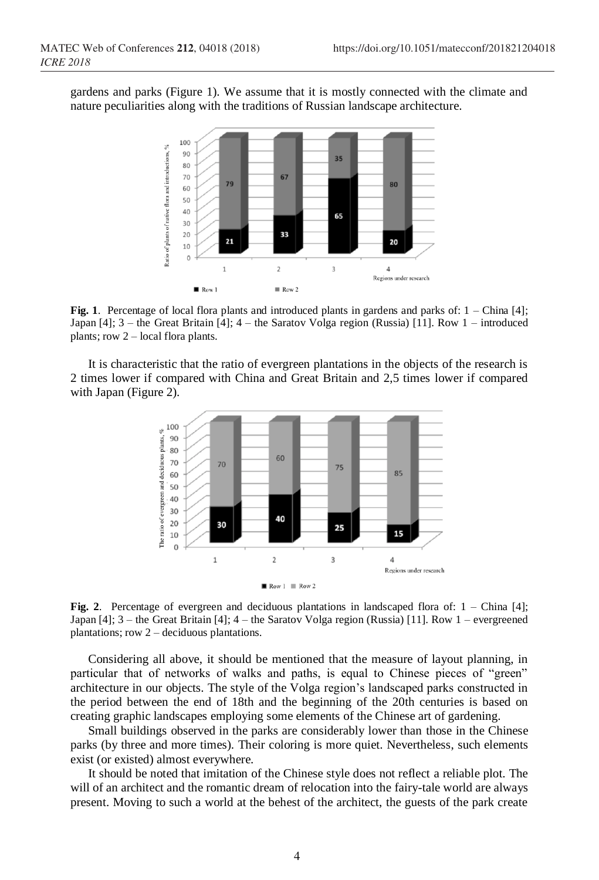gardens and parks (Figure 1). We assume that it is mostly connected with the climate and nature peculiarities along with the traditions of Russian landscape architecture.



**Fig. 1**. Percentage of local flora plants and introduced plants in gardens and parks of: 1 – China [4]; Japan [4]; 3 – the Great Britain [4]; 4 – the Saratov Volga region (Russia) [11]. Row 1 – introduced plants; row 2 – local flora plants.

It is characteristic that the ratio of evergreen plantations in the objects of the research is 2 times lower if compared with China and Great Britain and 2,5 times lower if compared with Japan (Figure 2).



**Fig. 2**. Percentage of evergreen and deciduous plantations in landscaped flora of: 1 – China [4]; Japan [4]; 3 – the Great Britain [4]; 4 – the Saratov Volga region (Russia) [11]. Row 1 – evergreened plantations; row 2 – deciduous plantations.

Considering all above, it should be mentioned that the measure of layout planning, in particular that of networks of walks and paths, is equal to Chinese pieces of "green" architecture in our objects. The style of the Volga region's landscaped parks constructed in the period between the end of 18th and the beginning of the 20th centuries is based on creating graphic landscapes employing some elements of the Chinese art of gardening.

Small buildings observed in the parks are considerably lower than those in the Chinese parks (by three and more times). Their coloring is more quiet. Nevertheless, such elements exist (or existed) almost everywhere.

It should be noted that imitation of the Chinese style does not reflect a reliable plot. The will of an architect and the romantic dream of relocation into the fairy-tale world are always present. Moving to such a world at the behest of the architect, the guests of the park create